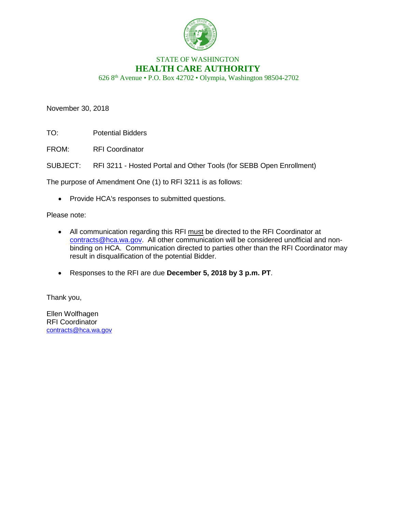

## STATE OF WASHINGTON **HEALTH CARE AUTHORITY**

626 8th Avenue • P.O. Box 42702 • Olympia, Washington 98504-2702

November 30, 2018

TO: Potential Bidders

FROM: RFI Coordinator

SUBJECT: RFI 3211 - Hosted Portal and Other Tools (for SEBB Open Enrollment)

The purpose of Amendment One (1) to RFI 3211 is as follows:

• Provide HCA's responses to submitted questions.

Please note:

- All communication regarding this RFI must be directed to the RFI Coordinator at [contracts@hca.wa.gov.](mailto:contracts@hca.wa.gov) All other communication will be considered unofficial and nonbinding on HCA. Communication directed to parties other than the RFI Coordinator may result in disqualification of the potential Bidder.
- Responses to the RFI are due **December 5, 2018 by 3 p.m. PT**.

Thank you,

Ellen Wolfhagen RFI Coordinator [contracts@hca.wa.gov](mailto:contracts@hca.wa.gov)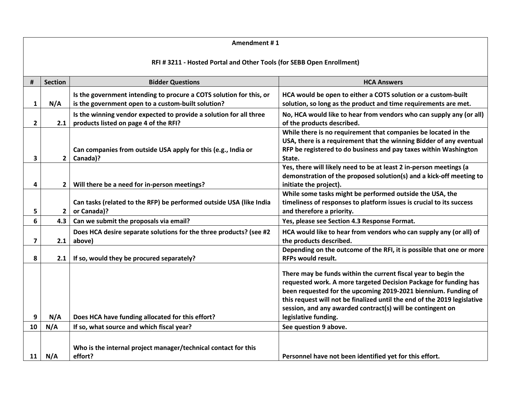## **Amendment # 1**

## **RFI # 3211 - Hosted Portal and Other Tools (for SEBB Open Enrollment)**

| #            | <b>Section</b> | <b>Bidder Questions</b>                                                                                                   | <b>HCA Answers</b>                                                                                                                                                                                                                                                                                                                                                     |
|--------------|----------------|---------------------------------------------------------------------------------------------------------------------------|------------------------------------------------------------------------------------------------------------------------------------------------------------------------------------------------------------------------------------------------------------------------------------------------------------------------------------------------------------------------|
| $\mathbf{1}$ | N/A            | Is the government intending to procure a COTS solution for this, or<br>is the government open to a custom-built solution? | HCA would be open to either a COTS solution or a custom-built<br>solution, so long as the product and time requirements are met.                                                                                                                                                                                                                                       |
| $\mathbf{2}$ | 2.1            | Is the winning vendor expected to provide a solution for all three<br>products listed on page 4 of the RFI?               | No, HCA would like to hear from vendors who can supply any (or all)<br>of the products described.                                                                                                                                                                                                                                                                      |
| 3            | $\overline{2}$ | Can companies from outside USA apply for this (e.g., India or<br>Canada)?                                                 | While there is no requirement that companies be located in the<br>USA, there is a requirement that the winning Bidder of any eventual<br>RFP be registered to do business and pay taxes within Washington<br>State.                                                                                                                                                    |
| 4            | $\overline{2}$ | Will there be a need for in-person meetings?                                                                              | Yes, there will likely need to be at least 2 in-person meetings (a<br>demonstration of the proposed solution(s) and a kick-off meeting to<br>initiate the project).                                                                                                                                                                                                    |
| 5            | $\overline{2}$ | Can tasks (related to the RFP) be performed outside USA (like India<br>or Canada)?                                        | While some tasks might be performed outside the USA, the<br>timeliness of responses to platform issues is crucial to its success<br>and therefore a priority.                                                                                                                                                                                                          |
| 6            | 4.3            | Can we submit the proposals via email?                                                                                    | Yes, please see Section 4.3 Response Format.                                                                                                                                                                                                                                                                                                                           |
| 7            | 2.1            | Does HCA desire separate solutions for the three products? (see #2<br>above)                                              | HCA would like to hear from vendors who can supply any (or all) of<br>the products described.                                                                                                                                                                                                                                                                          |
| 8            | 2.1            | If so, would they be procured separately?                                                                                 | Depending on the outcome of the RFI, it is possible that one or more<br><b>RFPs would result.</b>                                                                                                                                                                                                                                                                      |
| 9            | N/A            | Does HCA have funding allocated for this effort?                                                                          | There may be funds within the current fiscal year to begin the<br>requested work. A more targeted Decision Package for funding has<br>been requested for the upcoming 2019-2021 biennium. Funding of<br>this request will not be finalized until the end of the 2019 legislative<br>session, and any awarded contract(s) will be contingent on<br>legislative funding. |
| 10           | N/A            | If so, what source and which fiscal year?                                                                                 | See question 9 above.                                                                                                                                                                                                                                                                                                                                                  |
| 11           | N/A            | Who is the internal project manager/technical contact for this<br>effort?                                                 | Personnel have not been identified yet for this effort.                                                                                                                                                                                                                                                                                                                |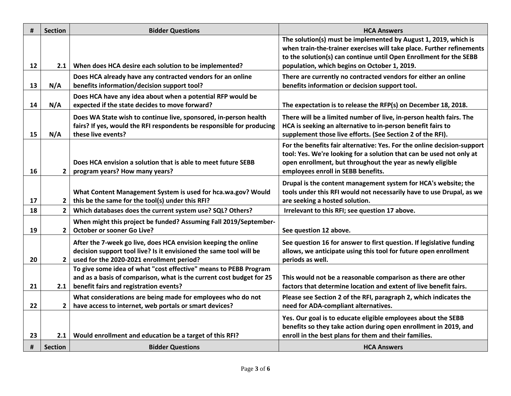| #        | <b>Section</b>                | <b>Bidder Questions</b>                                                                                                              | <b>HCA Answers</b>                                                                                                                       |
|----------|-------------------------------|--------------------------------------------------------------------------------------------------------------------------------------|------------------------------------------------------------------------------------------------------------------------------------------|
|          |                               |                                                                                                                                      | The solution(s) must be implemented by August 1, 2019, which is<br>when train-the-trainer exercises will take place. Further refinements |
|          |                               |                                                                                                                                      | to the solution(s) can continue until Open Enrollment for the SEBB                                                                       |
| 12       | 2.1                           | When does HCA desire each solution to be implemented?                                                                                | population, which begins on October 1, 2019.                                                                                             |
|          |                               | Does HCA already have any contracted vendors for an online                                                                           | There are currently no contracted vendors for either an online                                                                           |
| 13       | N/A                           | benefits information/decision support tool?                                                                                          | benefits information or decision support tool.                                                                                           |
| 14       | N/A                           | Does HCA have any idea about when a potential RFP would be<br>expected if the state decides to move forward?                         | The expectation is to release the RFP(s) on December 18, 2018.                                                                           |
|          |                               | Does WA State wish to continue live, sponsored, in-person health                                                                     | There will be a limited number of live, in-person health fairs. The                                                                      |
| 15       | N/A                           | fairs? If yes, would the RFI respondents be responsible for producing<br>these live events?                                          | HCA is seeking an alternative to in-person benefit fairs to<br>supplement those live efforts. (See Section 2 of the RFI).                |
|          |                               |                                                                                                                                      | For the benefits fair alternative: Yes. For the online decision-support                                                                  |
|          |                               |                                                                                                                                      | tool: Yes. We're looking for a solution that can be used not only at                                                                     |
|          |                               | Does HCA envision a solution that is able to meet future SEBB                                                                        | open enrollment, but throughout the year as newly eligible                                                                               |
| 16       | 2 <sup>1</sup>                | program years? How many years?                                                                                                       | employees enroll in SEBB benefits.                                                                                                       |
|          |                               |                                                                                                                                      | Drupal is the content management system for HCA's website; the                                                                           |
|          |                               | What Content Management System is used for hca.wa.gov? Would                                                                         | tools under this RFI would not necessarily have to use Drupal, as we                                                                     |
| 17<br>18 | 2 <sup>1</sup><br>$2^{\circ}$ | this be the same for the tool(s) under this RFI?                                                                                     | are seeking a hosted solution.                                                                                                           |
|          |                               | Which databases does the current system use? SQL? Others?                                                                            | Irrelevant to this RFI; see question 17 above.                                                                                           |
| 19       | $2^{\circ}$                   | When might this project be funded? Assuming Fall 2019/September-<br><b>October or sooner Go Live?</b>                                | See question 12 above.                                                                                                                   |
|          |                               |                                                                                                                                      |                                                                                                                                          |
|          |                               | After the 7-week go live, does HCA envision keeping the online<br>decision support tool live? Is it envisioned the same tool will be | See question 16 for answer to first question. If legislative funding<br>allows, we anticipate using this tool for future open enrollment |
| 20       | 2 <sub>1</sub>                | used for the 2020-2021 enrollment period?                                                                                            | periods as well.                                                                                                                         |
|          |                               | To give some idea of what "cost effective" means to PEBB Program                                                                     |                                                                                                                                          |
|          |                               | and as a basis of comparison, what is the current cost budget for 25                                                                 | This would not be a reasonable comparison as there are other                                                                             |
| 21       | 2.1                           | benefit fairs and registration events?                                                                                               | factors that determine location and extent of live benefit fairs.                                                                        |
| 22       | 2 <sup>1</sup>                | What considerations are being made for employees who do not<br>have access to internet, web portals or smart devices?                | Please see Section 2 of the RFI, paragraph 2, which indicates the<br>need for ADA-compliant alternatives.                                |
|          |                               |                                                                                                                                      |                                                                                                                                          |
|          |                               |                                                                                                                                      | Yes. Our goal is to educate eligible employees about the SEBB<br>benefits so they take action during open enrollment in 2019, and        |
| 23       | 2.1                           | Would enrollment and education be a target of this RFI?                                                                              | enroll in the best plans for them and their families.                                                                                    |
| #        | <b>Section</b>                | <b>Bidder Questions</b>                                                                                                              | <b>HCA Answers</b>                                                                                                                       |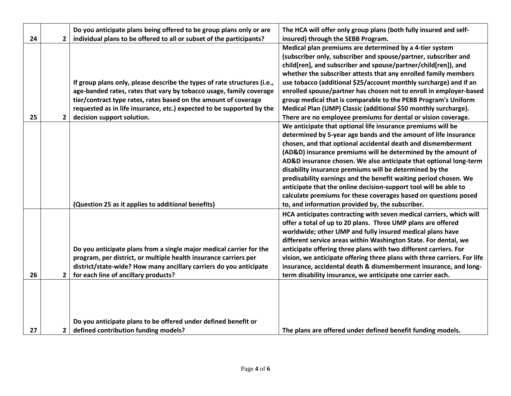| 24 | $\overline{2}$ | Do you anticipate plans being offered to be group plans only or are<br>individual plans to be offered to all or subset of the participants? | The HCA will offer only group plans (both fully insured and self-<br>insured) through the SEBB Program. |
|----|----------------|---------------------------------------------------------------------------------------------------------------------------------------------|---------------------------------------------------------------------------------------------------------|
|    |                |                                                                                                                                             | Medical plan premiums are determined by a 4-tier system                                                 |
|    |                |                                                                                                                                             | (subscriber only, subscriber and spouse/partner, subscriber and                                         |
|    |                |                                                                                                                                             | child[ren], and subscriber and spouse/partner/child[ren]), and                                          |
|    |                |                                                                                                                                             | whether the subscriber attests that any enrolled family members                                         |
|    |                | If group plans only, please describe the types of rate structures (i.e.,                                                                    | use tobacco (additional \$25/account monthly surcharge) and if an                                       |
|    |                | age-banded rates, rates that vary by tobacco usage, family coverage                                                                         | enrolled spouse/partner has chosen not to enroll in employer-based                                      |
|    |                | tier/contract type rates, rates based on the amount of coverage                                                                             | group medical that is comparable to the PEBB Program's Uniform                                          |
|    |                |                                                                                                                                             |                                                                                                         |
|    |                | requested as in life insurance, etc.) expected to be supported by the                                                                       | Medical Plan (UMP) Classic (additional \$50 monthly surcharge).                                         |
| 25 | $\overline{2}$ | decision support solution.                                                                                                                  | There are no employee premiums for dental or vision coverage.                                           |
|    |                |                                                                                                                                             | We anticipate that optional life insurance premiums will be                                             |
|    |                |                                                                                                                                             | determined by 5-year age bands and the amount of life insurance                                         |
|    |                |                                                                                                                                             | chosen, and that optional accidental death and dismemberment                                            |
|    |                |                                                                                                                                             | (AD&D) insurance premiums will be determined by the amount of                                           |
|    |                |                                                                                                                                             | AD&D insurance chosen. We also anticipate that optional long-term                                       |
|    |                |                                                                                                                                             | disability insurance premiums will be determined by the                                                 |
|    |                |                                                                                                                                             | predisability earnings and the benefit waiting period chosen. We                                        |
|    |                |                                                                                                                                             | anticipate that the online decision-support tool will be able to                                        |
|    |                |                                                                                                                                             | calculate premiums for these coverages based on questions posed                                         |
|    |                | (Question 25 as it applies to additional benefits)                                                                                          | to, and information provided by, the subscriber.                                                        |
|    |                |                                                                                                                                             | HCA anticipates contracting with seven medical carriers, which will                                     |
|    |                |                                                                                                                                             | offer a total of up to 20 plans. Three UMP plans are offered                                            |
|    |                |                                                                                                                                             | worldwide; other UMP and fully insured medical plans have                                               |
|    |                |                                                                                                                                             | different service areas within Washington State. For dental, we                                         |
|    |                | Do you anticipate plans from a single major medical carrier for the                                                                         | anticipate offering three plans with two different carriers. For                                        |
|    |                | program, per district, or multiple health insurance carriers per                                                                            | vision, we anticipate offering three plans with three carriers. For life                                |
|    |                | district/state-wide? How many ancillary carriers do you anticipate                                                                          | insurance, accidental death & dismemberment insurance, and long-                                        |
| 26 | $\overline{2}$ | for each line of ancillary products?                                                                                                        | term disability insurance, we anticipate one carrier each.                                              |
|    |                |                                                                                                                                             |                                                                                                         |
|    |                |                                                                                                                                             |                                                                                                         |
|    |                |                                                                                                                                             |                                                                                                         |
|    |                |                                                                                                                                             |                                                                                                         |
|    |                | Do you anticipate plans to be offered under defined benefit or                                                                              |                                                                                                         |
| 27 | $\mathbf{2}$   | defined contribution funding models?                                                                                                        | The plans are offered under defined benefit funding models.                                             |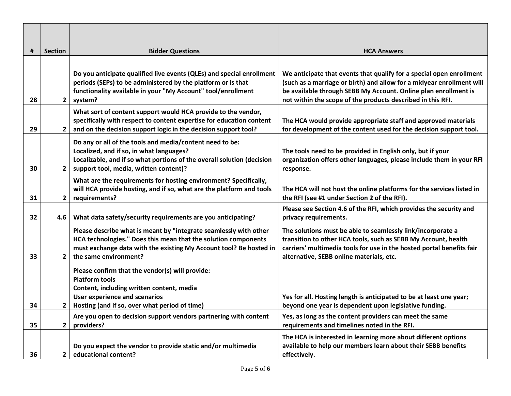| #  | <b>Section</b> | <b>Bidder Questions</b>                                                                                                                                                                                                            | <b>HCA Answers</b>                                                                                                                                                                                                                                                              |
|----|----------------|------------------------------------------------------------------------------------------------------------------------------------------------------------------------------------------------------------------------------------|---------------------------------------------------------------------------------------------------------------------------------------------------------------------------------------------------------------------------------------------------------------------------------|
| 28 | $\overline{2}$ | Do you anticipate qualified live events (QLEs) and special enrollment<br>periods (SEPs) to be administered by the platform or is that<br>functionality available in your "My Account" tool/enrollment<br>system?                   | We anticipate that events that qualify for a special open enrollment<br>(such as a marriage or birth) and allow for a midyear enrollment will<br>be available through SEBB My Account. Online plan enrollment is<br>not within the scope of the products described in this RFI. |
| 29 | $\overline{2}$ | What sort of content support would HCA provide to the vendor,<br>specifically with respect to content expertise for education content<br>and on the decision support logic in the decision support tool?                           | The HCA would provide appropriate staff and approved materials<br>for development of the content used for the decision support tool.                                                                                                                                            |
| 30 | $2^{\circ}$    | Do any or all of the tools and media/content need to be:<br>Localized, and if so, in what languages?<br>Localizable, and if so what portions of the overall solution (decision<br>support tool, media, written content)?           | The tools need to be provided in English only, but if your<br>organization offers other languages, please include them in your RFI<br>response.                                                                                                                                 |
| 31 | $\overline{2}$ | What are the requirements for hosting environment? Specifically,<br>will HCA provide hosting, and if so, what are the platform and tools<br>requirements?                                                                          | The HCA will not host the online platforms for the services listed in<br>the RFI (see #1 under Section 2 of the RFI).                                                                                                                                                           |
| 32 | 4.6            | What data safety/security requirements are you anticipating?                                                                                                                                                                       | Please see Section 4.6 of the RFI, which provides the security and<br>privacy requirements.                                                                                                                                                                                     |
| 33 | $\overline{2}$ | Please describe what is meant by "integrate seamlessly with other<br>HCA technologies." Does this mean that the solution components<br>must exchange data with the existing My Account tool? Be hosted in<br>the same environment? | The solutions must be able to seamlessly link/incorporate a<br>transition to other HCA tools, such as SEBB My Account, health<br>carriers' multimedia tools for use in the hosted portal benefits fair<br>alternative, SEBB online materials, etc.                              |
| 34 | $\mathbf{2}$   | Please confirm that the vendor(s) will provide:<br><b>Platform tools</b><br>Content, including written content, media<br><b>User experience and scenarios</b><br>Hosting (and if so, over what period of time)                     | Yes for all. Hosting length is anticipated to be at least one year;<br>beyond one year is dependent upon legislative funding.                                                                                                                                                   |
| 35 | $\overline{2}$ | Are you open to decision support vendors partnering with content<br>providers?                                                                                                                                                     | Yes, as long as the content providers can meet the same<br>requirements and timelines noted in the RFI.                                                                                                                                                                         |
| 36 | $\mathbf{2}$   | Do you expect the vendor to provide static and/or multimedia<br>educational content?                                                                                                                                               | The HCA is interested in learning more about different options<br>available to help our members learn about their SEBB benefits<br>effectively.                                                                                                                                 |